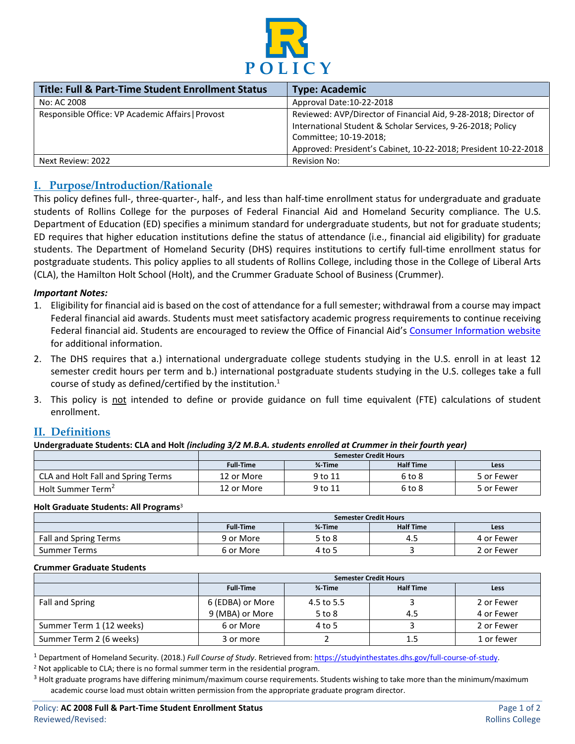

| <b>Title: Full &amp; Part-Time Student Enrollment Status</b> | <b>Type: Academic</b>                                           |
|--------------------------------------------------------------|-----------------------------------------------------------------|
| No: AC 2008                                                  | Approval Date:10-22-2018                                        |
| Responsible Office: VP Academic Affairs   Provost            | Reviewed: AVP/Director of Financial Aid, 9-28-2018; Director of |
|                                                              | International Student & Scholar Services, 9-26-2018; Policy     |
|                                                              | Committee; 10-19-2018;                                          |
|                                                              | Approved: President's Cabinet, 10-22-2018; President 10-22-2018 |
| Next Review: 2022                                            | <b>Revision No:</b>                                             |

### **I. Purpose/Introduction/Rationale**

This policy defines full-, three-quarter-, half-, and less than half-time enrollment status for undergraduate and graduate students of Rollins College for the purposes of Federal Financial Aid and Homeland Security compliance. The U.S. Department of Education (ED) specifies a minimum standard for undergraduate students, but not for graduate students; ED requires that higher education institutions define the status of attendance (i.e., financial aid eligibility) for graduate students. The Department of Homeland Security (DHS) requires institutions to certify full-time enrollment status for postgraduate students. This policy applies to all students of Rollins College, including those in the College of Liberal Arts (CLA), the Hamilton Holt School (Holt), and the Crummer Graduate School of Business (Crummer).

#### *Important Notes:*

- 1. Eligibility for financial aid is based on the cost of attendance for a full semester; withdrawal from a course may impact Federal financial aid awards. Students must meet satisfactory academic progress requirements to continue receiving Federal financial aid. Students are encouraged to review the Office of Financial Aid's Consumer [Information website](http://www.rollins.edu/financial-aid/consumer-information/index.html) for additional information.
- 2. The DHS requires that a.) international undergraduate college students studying in the U.S. enroll in at least 12 semester credit hours per term and b.) international postgraduate students studying in the U.S. colleges take a full course of study as defined/certified by the institution.<sup>1</sup>
- 3. This policy is not intended to define or provide guidance on full time equivalent (FTE) calculations of student enrollment.

### **II. Definitions**

**Undergraduate Students: CLA and Holt** *(including 3/2 M.B.A. students enrolled at Crummer in their fourth year)*

|                                    | <b>Semester Credit Hours</b> |                |                  |            |
|------------------------------------|------------------------------|----------------|------------------|------------|
|                                    | <b>Full-Time</b>             | <b>34-Time</b> | <b>Half Time</b> | Less       |
| CLA and Holt Fall and Spring Terms | 12 or More                   | 9 to 11        | 6 to 8           | 5 or Fewer |
| Holt Summer Term <sup>2</sup>      | 12 or More                   | 9 to 11        | 6 to 8           | 5 or Fewer |

#### **Holt Graduate Students: All Programs**<sup>3</sup>

|                       | <b>Semester Credit Hours</b> |                |                  |            |
|-----------------------|------------------------------|----------------|------------------|------------|
|                       | <b>Full Time</b>             | <b>14-Time</b> | <b>Half Time</b> | Less       |
| Fall and Spring Terms | 9 or More                    | 5 to 8         | -4.5             | 4 or Fewer |
| <b>Summer Terms</b>   | 6 or More                    | 4 to 5         |                  | 2 or Fewer |

#### **Crummer Graduate Students**

|                          | <b>Semester Credit Hours</b> |                |                  |            |
|--------------------------|------------------------------|----------------|------------------|------------|
|                          | <b>Full-Time</b>             | <b>34-Time</b> | <b>Half Time</b> | Less       |
| Fall and Spring          | 6 (EDBA) or More             | 4.5 to 5.5     |                  | 2 or Fewer |
|                          | 9 (MBA) or More              | $5$ to $8$     | 4.5              | 4 or Fewer |
| Summer Term 1 (12 weeks) | 6 or More                    | 4 to 5         |                  | 2 or Fewer |
| Summer Term 2 (6 weeks)  | 3 or more                    |                |                  | 1 or fewer |

<sup>1</sup> Department of Homeland Security. (2018.) Full Course of Study. Retrieved from: [https://studyinthestates.dhs.gov/full-course-of-study.](https://studyinthestates.dhs.gov/full-course-of-study)<br><sup>2</sup> Not applicable to CLA; there is no formal summer term in the residential program

 $3$  Holt graduate programs have differing minimum/maximum course requirements. Students wishing to take more than the minimum/maximum academic course load must obtain written permission from the appropriate graduate program director.